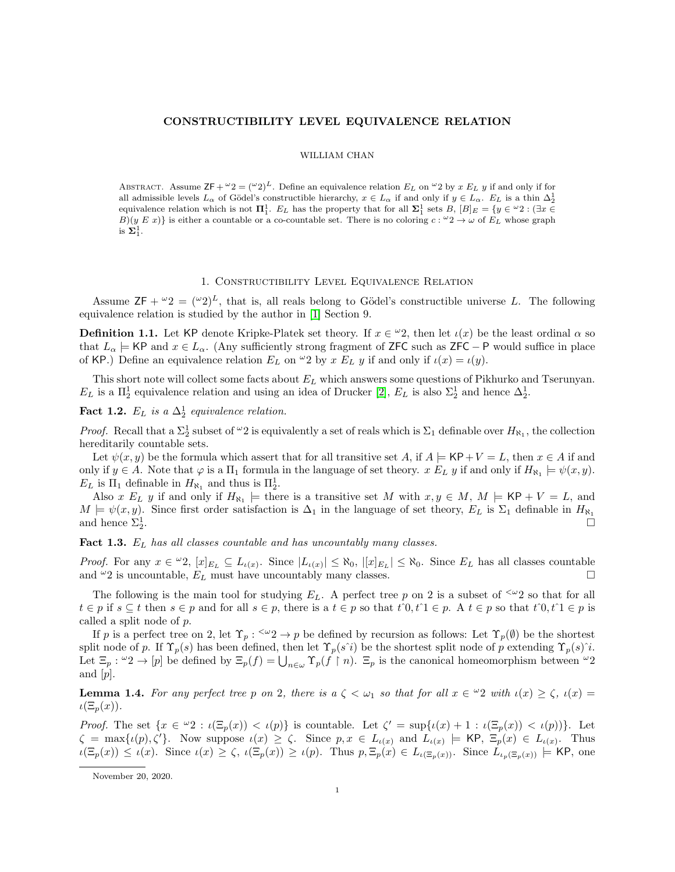## CONSTRUCTIBILITY LEVEL EQUIVALENCE RELATION

## WILLIAM CHAN

ABSTRACT. Assume  $\mathsf{ZF} + {}^{\omega}2 = ({}^{\omega}2)^{L}$ . Define an equivalence relation  $E_L$  on  ${}^{\omega}2$  by  $x E_L y$  if and only if for all admissible levels  $L_{\alpha}$  of Gödel's constructible hierarchy,  $x \in L_{\alpha}$  if and only if  $y \in L_{\alpha}$ .  $E_L$  is a thin  $\Delta_2^1$ equivalence relation which is not  $\Pi_1^1$ .  $E_L$  has the property that for all  $\Sigma_1^1$  sets  $B$ ,  $[B]_E = \{y \in {}^{\omega}2 : (\exists x \in E]_E\}$  $B|(y E x)|$  is either a countable or a co-countable set. There is no coloring  $c : \omega_2 \to \omega$  of  $E_L$  whose graph is  $\Sigma^1_1$ .

## 1. Constructibility Level Equivalence Relation

Assume  $\mathsf{ZF} + \omega_2 = (\omega_2)^L$ , that is, all reals belong to Gödel's constructible universe L. The following equivalence relation is studied by the author in [\[1\]](#page-2-0) Section 9.

**Definition 1.1.** Let KP denote Kripke-Platek set theory. If  $x \in \omega_2$ , then let  $\iota(x)$  be the least ordinal  $\alpha$  so that  $L_{\alpha} \models$  KP and  $x \in L_{\alpha}$ . (Any sufficiently strong fragment of ZFC such as ZFC – P would suffice in place of KP.) Define an equivalence relation  $E_L$  on  $\omega_2$  by  $x E_L y$  if and only if  $\iota(x) = \iota(y)$ .

This short note will collect some facts about  $E<sub>L</sub>$  which answers some questions of Pikhurko and Tserunyan.  $E_L$  is a  $\Pi_2^1$  equivalence relation and using an idea of Drucker [\[2\]](#page-2-1),  $E_L$  is also  $\Sigma_2^1$  and hence  $\Delta_2^1$ .

**Fact 1.2.**  $E_L$  is a  $\Delta_2^1$  equivalence relation.

*Proof.* Recall that a  $\Sigma_2^1$  subset of  $\omega_2$  is equivalently a set of reals which is  $\Sigma_1$  definable over  $H_{\aleph_1}$ , the collection hereditarily countable sets.

Let  $\psi(x, y)$  be the formula which assert that for all transitive set A, if  $A \models \mathsf{KP}+\mathsf{V}=L$ , then  $x \in A$  if and only if  $y \in A$ . Note that  $\varphi$  is a  $\Pi_1$  formula in the language of set theory.  $x E_L y$  if and only if  $H_{\aleph_1} \models \psi(x, y)$ .  $E_L$  is  $\Pi_1$  definable in  $H_{\aleph_1}$  and thus is  $\Pi_2^1$ .

Also x  $E_L$  y if and only if  $H_{\aleph_1} \models$  there is a transitive set M with  $x, y \in M$ ,  $M \models$  KP + V = L, and  $M \models \psi(x, y)$ . Since first order satisfaction is  $\Delta_1$  in the language of set theory,  $E_L$  is  $\Sigma_1$  definable in  $H_{\aleph_1}$ and hence  $\Sigma^1_2$ .

<span id="page-0-1"></span>**Fact 1.3.**  $E_L$  has all classes countable and has uncountably many classes.

*Proof.* For any  $x \in \omega_2$ ,  $[x]_{E_L} \subseteq L_{\iota(x)}$ . Since  $|L_{\iota(x)}| \leq \aleph_0$ ,  $|[x]_{E_L}| \leq \aleph_0$ . Since  $E_L$  has all classes countable and  $\omega_2$  is uncountable,  $E_L$  must have uncountably many classes.

The following is the main tool for studying  $E_L$ . A perfect tree p on 2 is a subset of  $\leq \omega_2$  so that for all  $t \in p$  if  $s \subseteq t$  then  $s \in p$  and for all  $s \in p$ , there is a  $t \in p$  so that  $t^0, t^1 \in p$ . A  $t \in p$  so that  $t^0, t^1 \in p$  is called a split node of p.

If p is a perfect tree on 2, let  $\Upsilon_p$ :  $\langle x_2 \rangle$  + p be defined by recursion as follows: Let  $\Upsilon_p(\emptyset)$  be the shortest split node of p. If  $\Upsilon_p(s)$  has been defined, then let  $\Upsilon_p(s^i)$  be the shortest split node of p extending  $\Upsilon_p(s)^i$ . Let  $\Xi_p : \omega_2 \to [p]$  be defined by  $\Xi_p(f) = \bigcup_{n \in \omega} \Upsilon_p(f \mid n)$ .  $\Xi_p$  is the canonical homeomorphism between  $\omega_2$ and [p].

<span id="page-0-0"></span>**Lemma 1.4.** For any perfect tree p on 2, there is  $a \zeta < \omega_1$  so that for all  $x \in \omega_2$  with  $\iota(x) \ge \zeta$ ,  $\iota(x) =$  $\iota(\Xi_p(x)).$ 

Proof. The set  $\{x \in {}^{\omega}2 : \iota(\Xi_p(x)) < \iota(p)\}\$ is countable. Let  $\zeta' = \sup{\{\iota(x) + 1 : \iota(\Xi_p(x)) < \iota(p)\}}\$ . Let  $\zeta = \max\{\iota(p), \zeta'\}.$  Now suppose  $\iota(x) \geq \zeta$ . Since  $p, x \in L_{\iota(x)}$  and  $L_{\iota(x)} \models$  KP,  $\Xi_p(x) \in L_{\iota(x)}$ . Thus  $u(\Xi_p(x)) \leq u(x)$ . Since  $u(x) \geq \zeta$ ,  $u(\Xi_p(x)) \geq u(p)$ . Thus  $p, \Xi_p(x) \in L_{\iota(\Xi_p(x))}$ . Since  $L_{\iota_p(\Xi_p(x))} \models$  KP, one

November 20, 2020.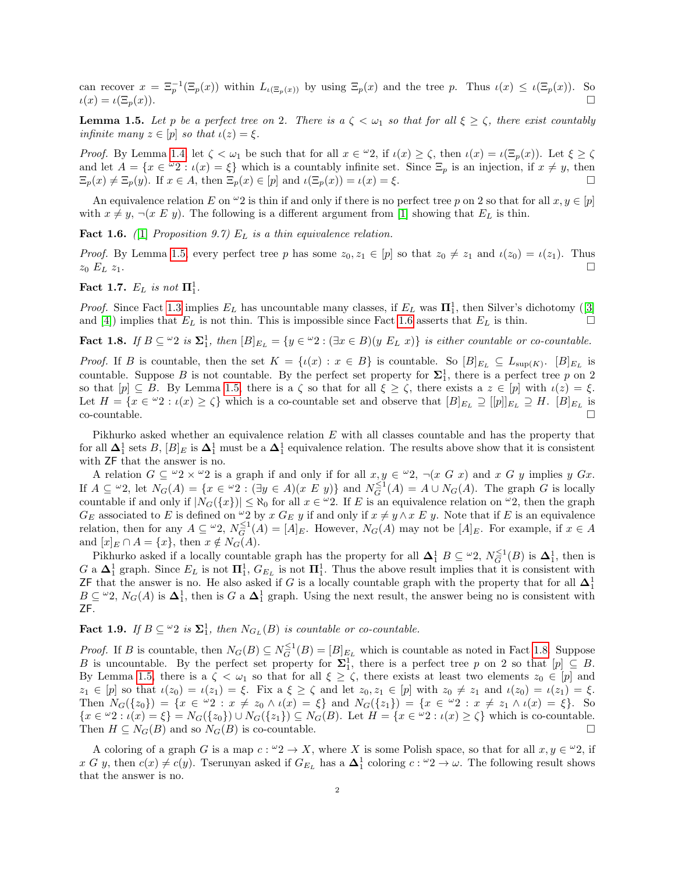can recover  $x = \Xi_p^{-1}(\Xi_p(x))$  within  $L_{\iota(\Xi_p(x))}$  by using  $\Xi_p(x)$  and the tree p. Thus  $\iota(x) \leq \iota(\Xi_p(x))$ . So  $\iota(x) = \iota(\Xi_p(x)).$ 

<span id="page-1-0"></span>**Lemma 1.5.** Let p be a perfect tree on 2. There is  $a \zeta < \omega_1$  so that for all  $\xi \ge \zeta$ , there exist countably infinite many  $z \in [p]$  so that  $\iota(z) = \xi$ .

Proof. By Lemma [1.4,](#page-0-0) let  $\zeta < \omega_1$  be such that for all  $x \in \omega_2$ , if  $\iota(x) \ge \zeta$ , then  $\iota(x) = \iota(\Xi_p(x))$ . Let  $\xi \ge \zeta$ and let  $A = \{x \in \mathcal{L} : \iota(x) = \xi\}$  which is a countably infinite set. Since  $\Xi_p$  is an injection, if  $x \neq y$ , then  $\Xi_p(x) \neq \Xi_p(y)$ . If  $x \in A$ , then  $\Xi_p(x) \in [p]$  and  $\iota(\Xi_p(x)) = \iota(x) = \xi$ .

An equivalence relation E on  $\omega_2$  is thin if and only if there is no perfect tree p on 2 so that for all  $x, y \in [p]$ with  $x \neq y$ ,  $\neg(x \ E \ y)$ . The following is a different argument from [\[1\]](#page-2-0) showing that  $E_L$  is thin.

<span id="page-1-1"></span>**Fact 1.6.** ([\[1\]](#page-2-0) Proposition 9.7)  $E_L$  is a thin equivalence relation.

*Proof.* By Lemma [1.5,](#page-1-0) every perfect tree p has some  $z_0, z_1 \in [p]$  so that  $z_0 \neq z_1$  and  $\iota(z_0) = \iota(z_1)$ . Thus  $z_0$   $E_L$   $z_1$ .

Fact 1.7.  $E_L$  is not  $\mathbf{\Pi}^1_1$ .

*Proof.* Since Fact [1.3](#page-0-1) implies  $E_L$  has uncountable many classes, if  $E_L$  was  $\Pi_1^1$ , then Silver's dichotomy ([\[3\]](#page-2-2) and [\[4\]](#page-2-3)) implies that  $E_L$  is not thin. This is impossible since Fact [1.6](#page-1-1) asserts that  $E_L$  is thin.

<span id="page-1-2"></span>Fact 1.8. If  $B \subseteq \{y \in \mathbb{Z}^d : |B|_{E_L} = \{y \in \mathbb{Z} : |\exists x \in B \mid (y E_L | x) \}$  is either countable or co-countable.

*Proof.* If B is countable, then the set  $K = \{t(x) : x \in B\}$  is countable. So  $[B]_{E_L} \subseteq L_{\text{sup}(K)}$ .  $[B]_{E_L}$  is countable. Suppose B is not countable. By the perfect set property for  $\Sigma_1^1$ , there is a perfect tree p on 2 so that  $[p] \subseteq B$ . By Lemma [1.5,](#page-1-0) there is a  $\zeta$  so that for all  $\xi \ge \zeta$ , there exists a  $z \in [p]$  with  $\iota(z) = \xi$ . Let  $H = \{x \in \omega_2 : \iota(x) \ge \zeta\}$  which is a co-countable set and observe that  $[B]_{E_L} \supseteq [p]]_{E_L} \supseteq H$ .  $[B]_{E_L}$  is  $\overline{\text{co-countable}}$ .

Pikhurko asked whether an equivalence relation E with all classes countable and has the property that for all  $\Delta_1^1$  sets B,  $[B]_E$  is  $\Delta_1^1$  must be a  $\Delta_1^1$  equivalence relation. The results above show that it is consistent with ZF that the answer is no.

A relation  $G \subseteq \omega_2 \times \omega_2$  is a graph if and only if for all  $x, y \in \omega_2$ ,  $\neg(x, G, x)$  and  $x, G, y$  implies  $y, Gx$ . If  $A \subseteq \omega_2$ , let  $N_G(A) = \{x \in \omega_2 : (\exists y \in A)(x \ E \ y)\}\$ and  $N_G^{\leq 1}(A) = A \cup N_G(A)$ . The graph G is locally countable if and only if  $|N_G({x})| \leq \aleph_0$  for all  $x \in \omega_2$ . If E is an equivalence relation on  $\omega_2$ , then the graph  $G_E$  associated to E is defined on <sup>ω</sup>2 by x  $G_E$  y if and only if  $x \neq y \land x \not\sqsubseteq y$ . Note that if E is an equivalence relation, then for any  $A \subseteq \omega_2$ ,  $N_G^{-1}(A) = [A]_E$ . However,  $N_G(A)$  may not be  $[A]_E$ . For example, if  $x \in A$ and  $[x]_E \cap A = \{x\}$ , then  $x \notin N_G(A)$ .

Pikhurko asked if a locally countable graph has the property for all  $\Delta_1^1 B \subseteq {}^{\omega}2$ ,  $N_G^{\leq 1}(B)$  is  $\Delta_1^1$ , then is G a  $\Delta_1^1$  graph. Since  $E_L$  is not  $\mathbf{\Pi}_1^1$ ,  $G_{E_L}$  is not  $\mathbf{\Pi}_1^1$ . Thus the above result implies that it is consistent with ZF that the answer is no. He also asked if G is a locally countable graph with the property that for all  $\Delta_1^1$  $B \subseteq \{0, N_G(A) \text{ is } \Delta_1^1$ , then is G a  $\Delta_1^1$  graph. Using the next result, the answer being no is consistent with ZF.

**Fact 1.9.** If  $B \subseteq \{^\omega 2 \text{ is } \mathbf{\Sigma}^1_1$ , then  $N_{G_L}(B)$  is countable or co-countable.

*Proof.* If B is countable, then  $N_G(B) \subseteq N_G^{\leq 1}(B) = [B]_{E_L}$  which is countable as noted in Fact [1.8.](#page-1-2) Suppose B is uncountable. By the perfect set property for  $\Sigma_1^1$ , there is a perfect tree p on 2 so that  $[p] \subseteq B$ . By Lemma [1.5,](#page-1-0) there is a  $\zeta < \omega_1$  so that for all  $\xi \geq \zeta$ , there exists at least two elements  $z_0 \in [p]$  and  $z_1 \in [p]$  so that  $\iota(z_0) = \iota(z_1) = \xi$ . Fix  $a \xi \ge \zeta$  and let  $z_0, z_1 \in [p]$  with  $z_0 \ne z_1$  and  $\iota(z_0) = \iota(z_1) = \xi$ . Then  $N_G({z_0}) = {x \in {}^{\omega}2 : x \neq z_0 \wedge \iota(x) = \xi}$  and  $N_G({z_1}) = {x \in {}^{\omega}2 : x \neq z_1 \wedge \iota(x) = \xi}$ . So  $\{x \in {}^{\omega}2 : \iota(x) = \xi\} = N_G(\{z_0\}) \cup N_G(\{z_1\}) \subseteq N_G(B)$ . Let  $H = \{x \in {}^{\omega}2 : \iota(x) \geq \zeta\}$  which is co-countable. Then  $H \subseteq N_G(B)$  and so  $N_G(B)$  is co-countable.

A coloring of a graph G is a map  $c: \omega_2 \to X$ , where X is some Polish space, so that for all  $x, y \in \omega_2$ , if x G y, then  $c(x) \neq c(y)$ . Tserunyan asked if  $G_{E_L}$  has a  $\Delta_1^1$  coloring  $c: \omega_2 \to \omega$ . The following result shows that the answer is no.